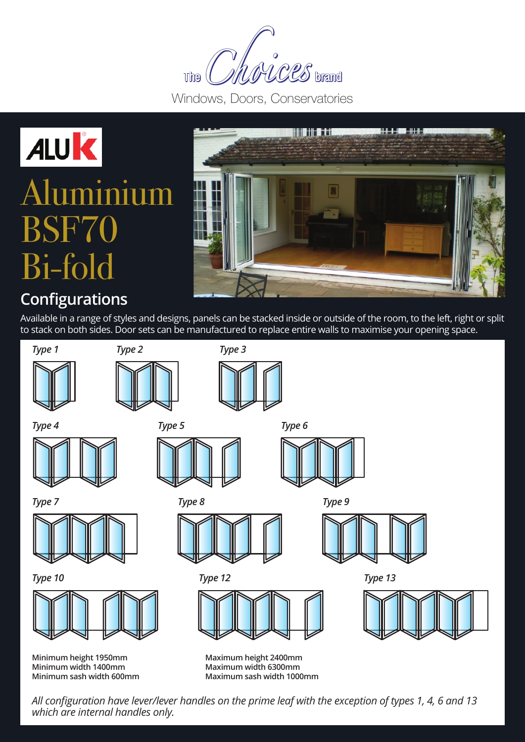MCCS brand **The** 

Windows, Doors, Conservatories





### **Configurations**

Available in a range of styles and designs, panels can be stacked inside or outside of the room, to the left, right or split to stack on both sides. Door sets can be manufactured to replace entire walls to maximise your opening space.



*All configuration have lever/lever handles on the prime leaf with the exception of types 1, 4, 6 and 13 which are internal handles only.*